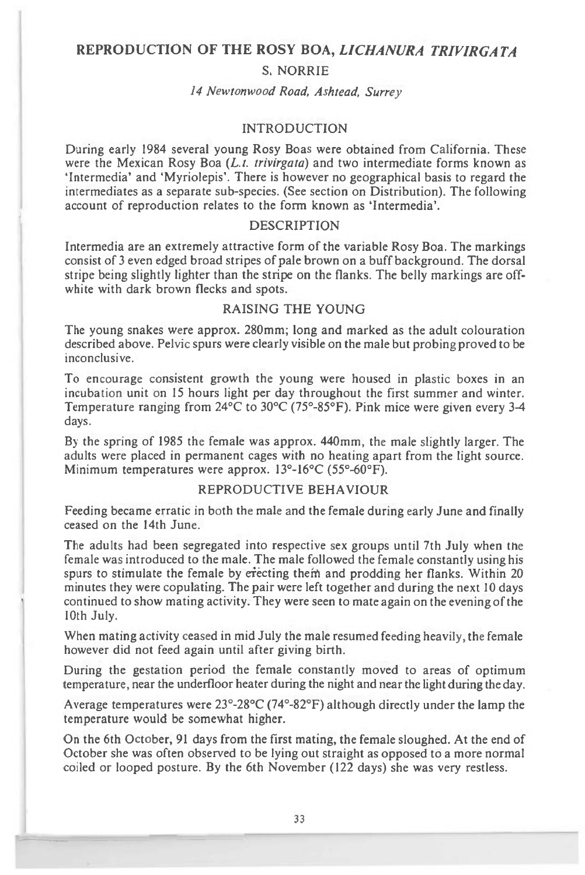### **REPRODUCTION OF THE ROSY BOA,** *LICHANURA TRIVIRGATA*

#### S. NORRIE

# *14 Newtonwood Road, Ashtead, Surrey*

## INTRODUCTION

During early 1984 several young Rosy Boas were obtained from California. These were the Mexican Rosy Boa *(L.t. trivirgata)* and two intermediate forms known as `Intermedia' and `Myriolepis'. There is however no geographical basis to regard the intermediates as a separate sub-species. (See section on Distribution). The following account of reproduction relates to the form known as 'Intermedia'.

#### DESCRIPTION

Intermedia are an extremely attractive form of the variable Rosy Boa. The markings consist of 3 even edged broad stripes of pale brown on a buff background. The dorsal stripe being slightly lighter than the stripe on the flanks. The belly markings are offwhite with dark brown flecks and spots.

# RAISING THE YOUNG

The young snakes were approx. 280mm; long and marked as the adult colouration described above. Pelvic spurs were clearly visible on the male but probing proved to be inconclusive.

To encourage consistent growth the young were housed in plastic boxes in an incubation unit on 15 hours light per day throughout the first summer and winter. Temperature ranging from 24°C to 30°C (75°-85°F). Pink mice were given every 3-4 days.

By the spring of 1985 the female was approx. 440mm, the male slightly larger. The adults were placed in permanent cages with no heating apart from the light source. Minimum temperatures were approx. 13°-16°C (55°-60°F).

## REPRODUCTIVE BEHAVIOUR

Feeding became erratic in both the male and the female during early June and finally ceased on the 14th June.

The adults had been segregated into respective sex groups until 7th July when the female was introduced to the male. The male followed the female constantly using his spurs to stimulate the female by erecting them and prodding her flanks. Within 20 minutes they were copulating. The pair were left together and during the next 10 days continued to show mating activity. They were seen to mate again on the evening of the 10th July.

When mating activity ceased in mid July the male resumed feeding heavily, the female however did not feed again until after giving birth.

During the gestation period the female constantly moved to areas of optimum temperature, near the underfloor heater during the night and near the light during the day.

Average temperatures were 23°-28°C (74°-82°F) although directly under the lamp the temperature would be somewhat higher.

On the 6th October, 91 days from the first mating, the female sloughed. At the end of October she was often observed to be lying out straight as opposed to a more normal coiled or looped posture. By the 6th November (122 days) she was very restless.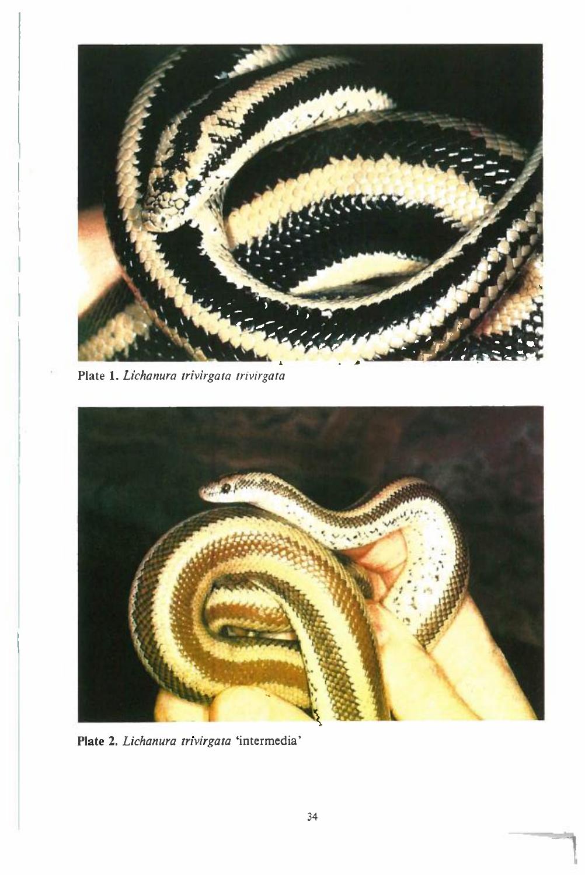

*Plate 1. Lichanura trivirgata trivirgata* 



Plate 2. *Lichanura trivirgata* 'intermedia'